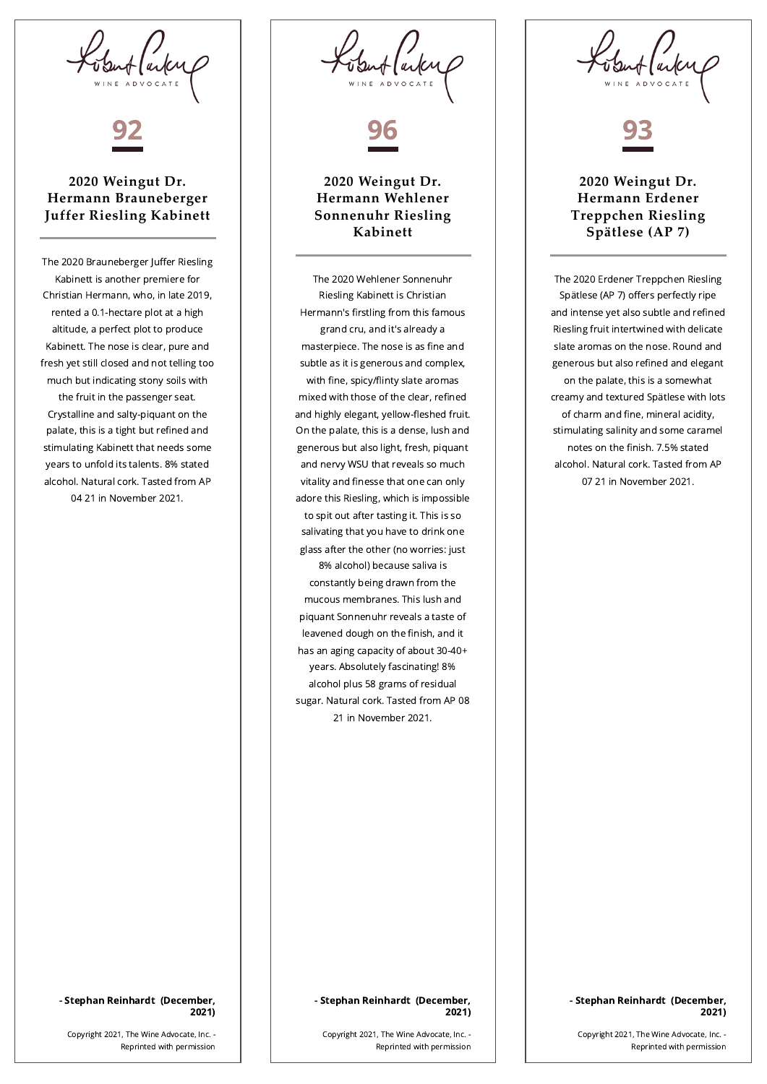# 92

# **2020 Weingut Dr. Hermann Brauneberger Juffer Riesling Kabinett**

The 2020 Brauneberger Juffer Riesling Kabinett is another premiere for Christian Hermann, who, in late 2019, rented a 0.1-hectare plot at a high altitude, a perfect plot to produce Kabinett. The nose is clear, pure and fresh yet still closed and not telling too much but indicating stony soils with the fruit in the passenger seat. Crystalline and salty-piquant on the palate, this is a tight but refined and stimulating Kabinett that needs some years to unfold its talents. 8% stated alcohol. Natural cork. Tasted from AP 04 21 in November 2021.

96

## **2020 Weingut Dr. Hermann Wehlener Sonnenuhr Riesling Kabinett**

The 2020 Wehlener Sonnenuhr Riesling Kabinett is Christian Hermann's firstling from this famous grand cru, and it's already a masterpiece. The nose is as fine and subtle as it is generous and complex, with fine, spicy/flinty slate aromas mixed with those of the clear, refined and highly elegant, yellow-fleshed fruit. On the palate, this is a dense, lush and generous but also light, fresh, piquant and nervy WSU that reveals so much vitality and finesse that one can only adore this Riesling, which is impossible to spit out after tasting it. This is so salivating that you have to drink one glass after the other (no worries: just 8% alcohol) because saliva is constantly being drawn from the mucous membranes. This lush and piquant Sonnenuhr reveals a taste of leavened dough on the finish, and it has an aging capacity of about 30-40+ years. Absolutely fascinating! 8% alcohol plus 58 grams of residual sugar. Natural cork. Tasted from AP 08 21 in November 2021.

# 93

# **2020 Weingut Dr. Hermann Erdener Treppchen Riesling Spätlese (AP 7)**

The 2020 Erdener Treppchen Riesling Spätlese (AP 7) offers perfectly ripe and intense yet also subtle and refined Riesling fruit intertwined with delicate slate aromas on the nose. Round and generous but also refined and elegant on the palate, this is a somewhat creamy and textured Spätlese with lots of charm and fine, mineral acidity, stimulating salinity and some caramel notes on the finish. 7.5% stated alcohol. Natural cork. Tasted from AP 07 21 in November 2021.

#### - Stephan Reinhardt (December, 2021)

#### - Stephan Reinhardt (December, 2021)

Copyright 2021, The Wine Advocate, Inc. - Reprinted with permission

#### - Stephan Reinhardt (December, 2021)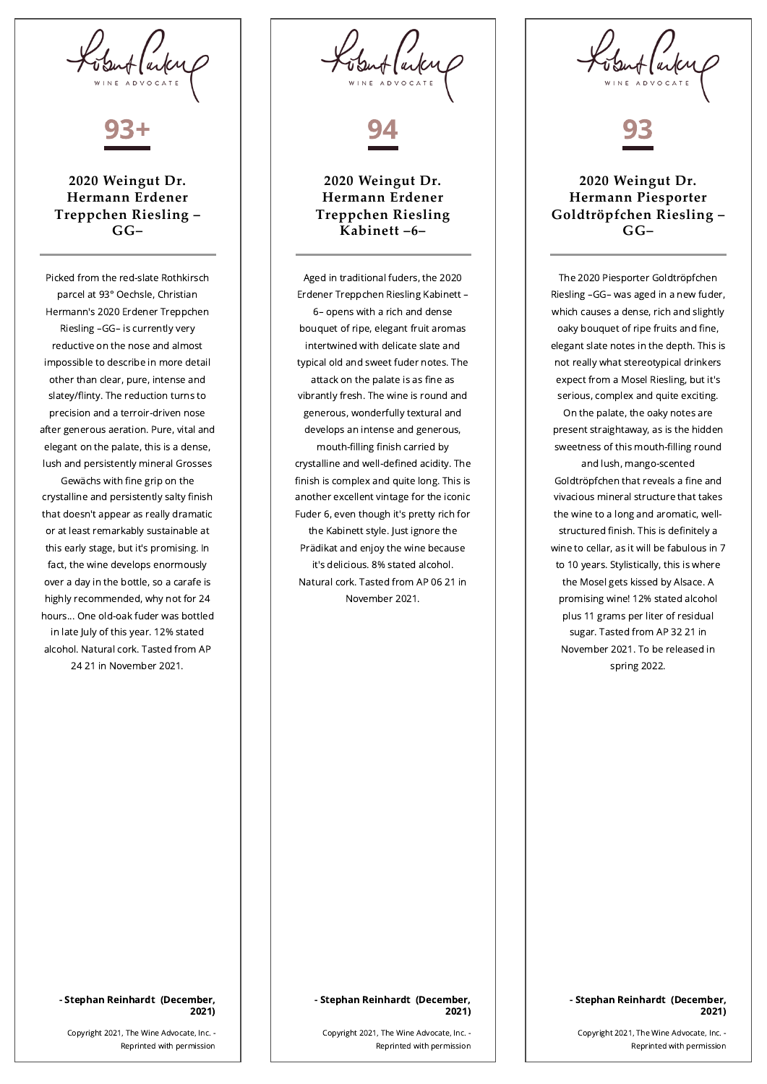

94

**2020 Weingut Dr. Hermann Erdener Treppchen Riesling Kabinett –6–**

Aged in traditional fuders, the 2020 Erdener Treppchen Riesling Kabinett – 6– opens with a rich and dense bouquet of ripe, elegant fruit aromas intertwined with delicate slate and typical old and sweet fuder notes. The attack on the palate is as fine as vibrantly fresh. The wine is round and generous, wonderfully textural and develops an intense and generous, mouth-filling finish carried by crystalline and well-defined acidity. The finish is complex and quite long. This is another excellent vintage for the iconic Fuder 6, even though it's pretty rich for the Kabinett style. Just ignore the Prädikat and enjoy the wine because it's delicious. 8% stated alcohol. Natural cork. Tasted from AP 06 21 in November 2021.



### **2020 Weingut Dr. Hermann Piesporter Goldtröpfchen Riesling – GG–**

The 2020 Piesporter Goldtröpfchen Riesling –GG– was aged in a new fuder, which causes a dense, rich and slightly oaky bouquet of ripe fruits and fine, elegant slate notes in the depth. This is not really what stereotypical drinkers expect from a Mosel Riesling, but it's serious, complex and quite exciting. On the palate, the oaky notes are present straightaway, as is the hidden sweetness of this mouth-filling round and lush, mango-scented Goldtröpfchen that reveals a fine and vivacious mineral structure that takes the wine to a long and aromatic, wellstructured finish. This is definitely a wine to cellar, as it will be fabulous in 7 to 10 years. Stylistically, this is where the Mosel gets kissed by Alsace. A promising wine! 12% stated alcohol plus 11 grams per liter of residual sugar. Tasted from AP 32 21 in November 2021. To be released in spring 2022.

> - Stephan Reinhardt (December, 2021)

#### - Stephan Reinhardt (December, 2021)

Copyright 2021, The Wine Advocate, Inc. - Reprinted with permission

#### - Stephan Reinhardt (December, 2021)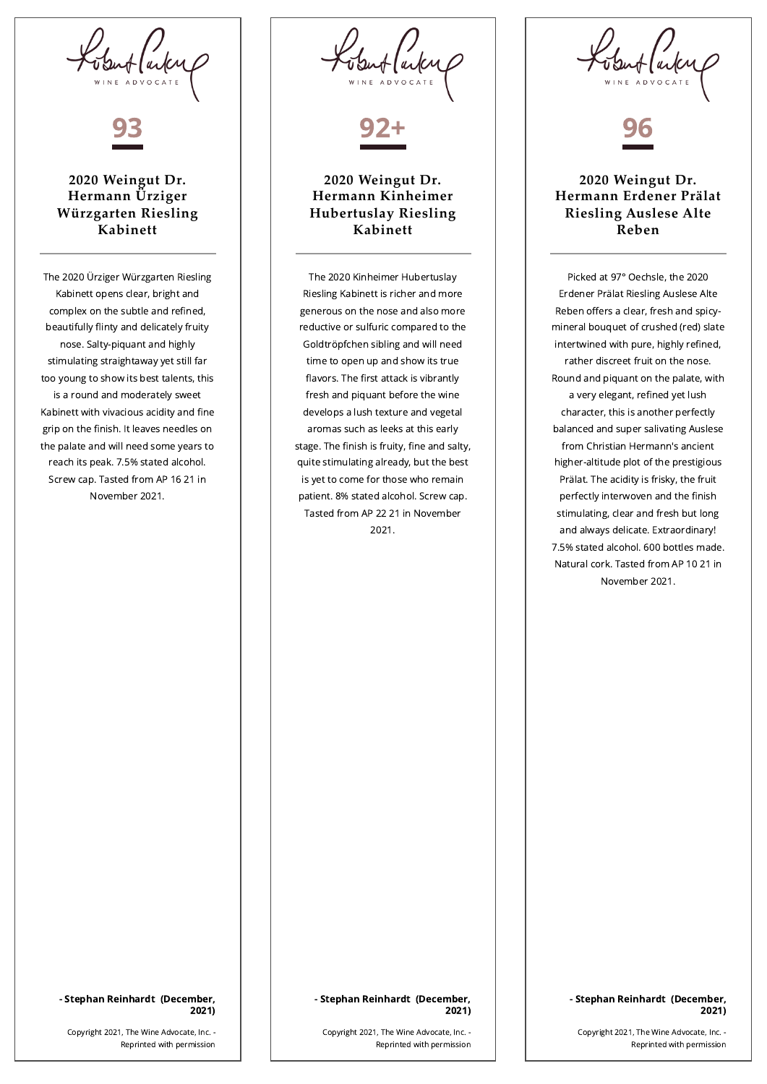A Carter 93 **2020 Weingut Dr. Hermann Ürziger Würzgarten Riesling Kabinett** The 2020 Ürziger Würzgarten Riesling Kabinett opens clear, bright and complex on the subtle and refined, beautifully flinty and delicately fruity nose. Salty-piquant and highly stimulating straightaway yet still far too young to show its best talents, this is a round and moderately sweet Kabinett with vivacious acidity and fine grip on the finish. It leaves needles on the palate and will need some years to reach its peak. 7.5% stated alcohol. Screw cap. Tasted from AP 16 21 in November 2021.

 $-$  and  $\alpha$ 

92+

## **2020 Weingut Dr. Hermann Kinheimer Hubertuslay Riesling Kabinett**

The 2020 Kinheimer Hubertuslay Riesling Kabinett is richer and more generous on the nose and also more reductive or sulfuric compared to the Goldtröpfchen sibling and will need time to open up and show its true flavors. The first attack is vibrantly fresh and piquant before the wine develops a lush texture and vegetal aromas such as leeks at this early stage. The finish is fruity, fine and salty, quite stimulating already, but the best is yet to come for those who remain patient. 8% stated alcohol. Screw cap. Tasted from AP 22 21 in November 2021.

-larks 96

## **2020 Weingut Dr. Hermann Erdener Prälat Riesling Auslese Alte Reben**

Picked at 97° Oechsle, the 2020 Erdener Prälat Riesling Auslese Alte Reben offers a clear, fresh and spicymineral bouquet of crushed (red) slate intertwined with pure, highly refined, rather discreet fruit on the nose. Round and piquant on the palate, with a very elegant, refined yet lush character, this is another perfectly balanced and super salivating Auslese from Christian Hermann's ancient higher-altitude plot of the prestigious Prälat. The acidity is frisky, the fruit perfectly interwoven and the finish stimulating, clear and fresh but long and always delicate. Extraordinary! 7.5% stated alcohol. 600 bottles made. Natural cork. Tasted from AP 10 21 in November 2021.

- Stephan Reinhardt (December, 2021)

Copyright 2021, The Wine Advocate, Inc. - Reprinted with permission

#### - Stephan Reinhardt (December, 2021)

Copyright 2021, The Wine Advocate, Inc. - Reprinted with permission

- Stephan Reinhardt (December, 2021)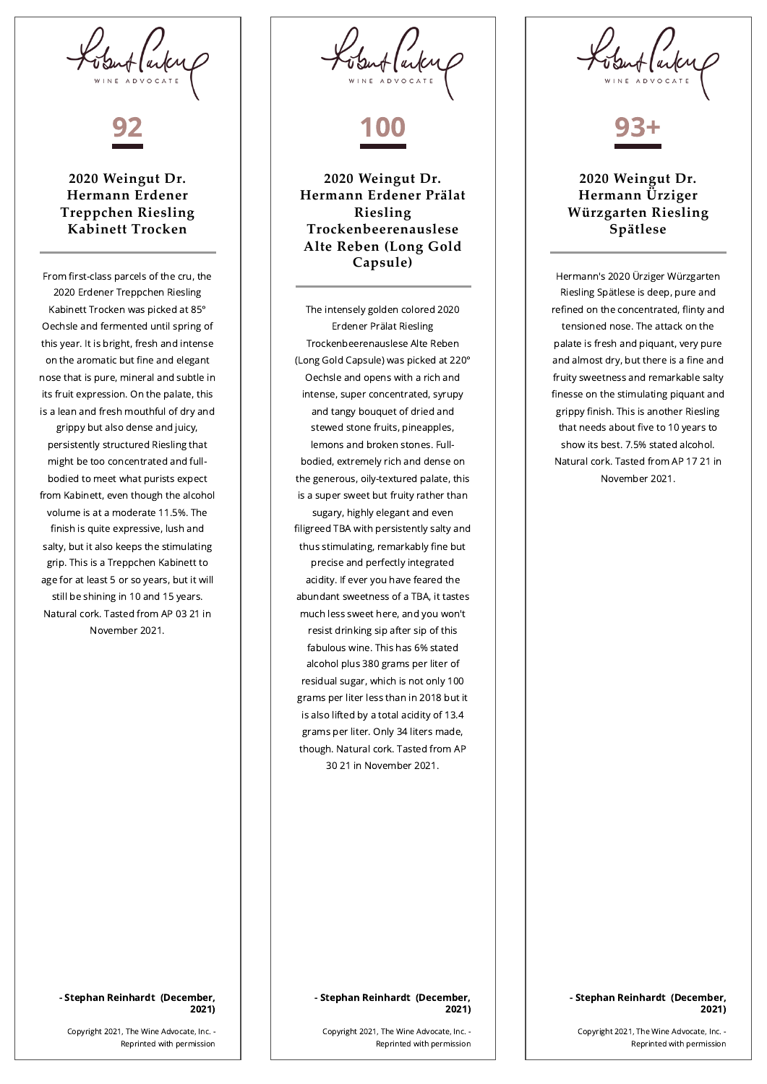

#### - Stephan Reinhardt (December, 2021)

Copyright 2021, The Wine Advocate, Inc. - Reprinted with permission

|               | But (arky |  |
|---------------|-----------|--|
| WINE ADVOCATE |           |  |

100

**2020 Weingut Dr. Hermann Erdener Prälat Riesling Trockenbeerenauslese Alte Reben (Long Gold Capsule)**

The intensely golden colored 2020 Erdener Prälat Riesling Trockenbeerenauslese Alte Reben (Long Gold Capsule) was picked at 220° Oechsle and opens with a rich and intense, super concentrated, syrupy and tangy bouquet of dried and stewed stone fruits, pineapples, lemons and broken stones. Fullbodied, extremely rich and dense on the generous, oily-textured palate, this is a super sweet but fruity rather than sugary, highly elegant and even filigreed TBA with persistently salty and thus stimulating, remarkably fine but precise and perfectly integrated acidity. If ever you have feared the abundant sweetness of a TBA, it tastes much less sweet here, and you won't resist drinking sip after sip of this fabulous wine. This has 6% stated alcohol plus 380 grams per liter of residual sugar, which is not only 100 grams per liter less than in 2018 but it is also lifted by a total acidity of 13.4 grams per liter. Only 34 liters made, though. Natural cork. Tasted from AP 30 21 in November 2021.

-larks

# 93+

# **2020 Weingut Dr. Hermann Ürziger Würzgarten Riesling Spätlese**

Hermann's 2020 Ürziger Würzgarten Riesling Spätlese is deep, pure and refined on the concentrated, flinty and tensioned nose. The attack on the palate is fresh and piquant, very pure and almost dry, but there is a fine and fruity sweetness and remarkable salty finesse on the stimulating piquant and grippy finish. This is another Riesling that needs about five to 10 years to show its best. 7.5% stated alcohol. Natural cork. Tasted from AP 17 21 in November 2021.

- Stephan Reinhardt (December, 2021)

Copyright 2021, The Wine Advocate, Inc. - Reprinted with permission - Stephan Reinhardt (December, 2021)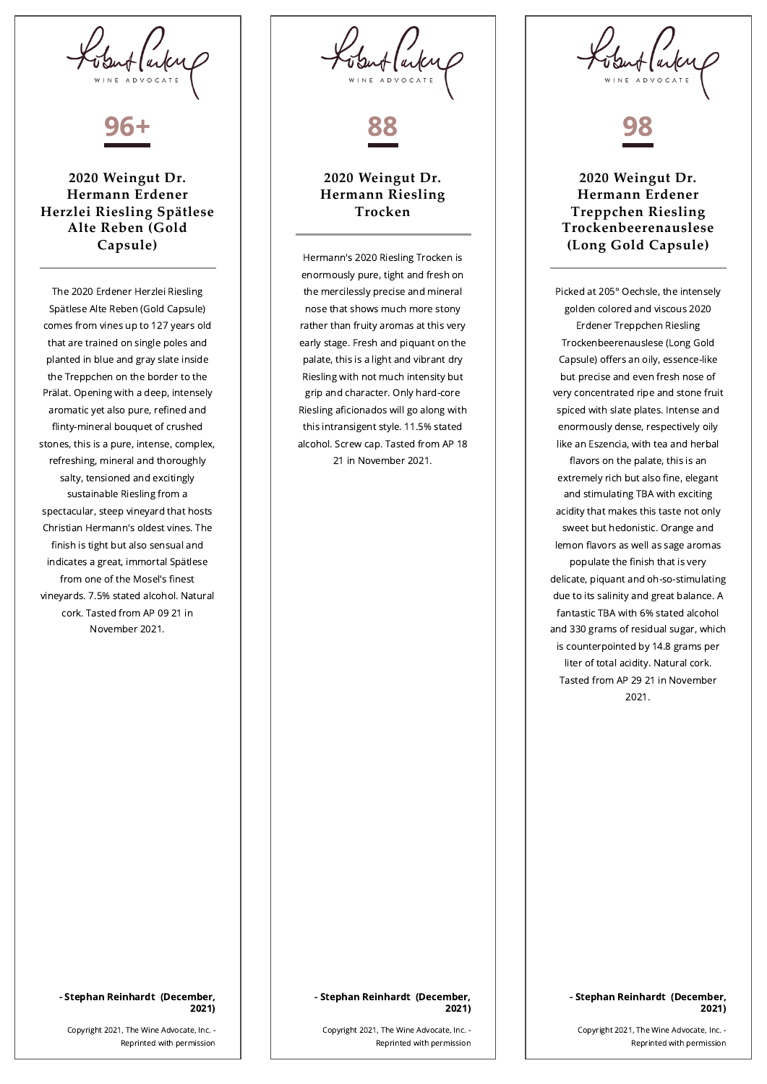# 96+

# **2020 Weingut Dr. Hermann Erdener Herzlei Riesling Spätlese Alte Reben (Gold Capsule)**

The 2020 Erdener Herzlei Riesling Spätlese Alte Reben (Gold Capsule) comes from vines up to 127 years old that are trained on single poles and planted in blue and gray slate inside the Treppchen on the border to the Prälat. Opening with a deep, intensely aromatic yet also pure, refined and flinty-mineral bouquet of crushed stones, this is a pure, intense, complex, refreshing, mineral and thoroughly salty, tensioned and excitingly sustainable Riesling from a spectacular, steep vineyard that hosts Christian Hermann's oldest vines. The finish is tight but also sensual and indicates a great, immortal Spätlese from one of the Mosel's finest vineyards. 7.5% stated alcohol. Natural cork. Tasted from AP 09 21 in November 2021.

88

# **2020 Weingut Dr. Hermann Riesling Trocken**

Hermann's 2020 Riesling Trocken is enormously pure, tight and fresh on the mercilessly precise and mineral nose that shows much more stony rather than fruity aromas at this very early stage. Fresh and piquant on the palate, this is a light and vibrant dry Riesling with not much intensity but grip and character. Only hard-core Riesling aficionados will go along with this intransigent style. 11.5% stated alcohol. Screw cap. Tasted from AP 18 21 in November 2021.

# **2020 Weingut Dr. Hermann Erdener Treppchen Riesling Trockenbeerenauslese (Long Gold Capsule)**

98

Picked at 205° Oechsle, the intensely golden colored and viscous 2020 Erdener Treppchen Riesling Trockenbeerenauslese (Long Gold Capsule) offers an oily, essence-like but precise and even fresh nose of very concentrated ripe and stone fruit spiced with slate plates. Intense and enormously dense, respectively oily like an Eszencia, with tea and herbal flavors on the palate, this is an extremely rich but also fine, elegant and stimulating TBA with exciting acidity that makes this taste not only sweet but hedonistic. Orange and lemon flavors as well as sage aromas populate the finish that is very delicate, piquant and oh-so-stimulating due to its salinity and great balance. A fantastic TBA with 6% stated alcohol and 330 grams of residual sugar, which is counterpointed by 14.8 grams per liter of total acidity. Natural cork. Tasted from AP 29 21 in November 2021.

> - Stephan Reinhardt (December, 2021)

Copyright 2021, The Wine Advocate, Inc. - Reprinted with permission

#### - Stephan Reinhardt (December, 2021)

Copyright 2021, The Wine Advocate, Inc. - Reprinted with permission

#### - Stephan Reinhardt (December, 2021)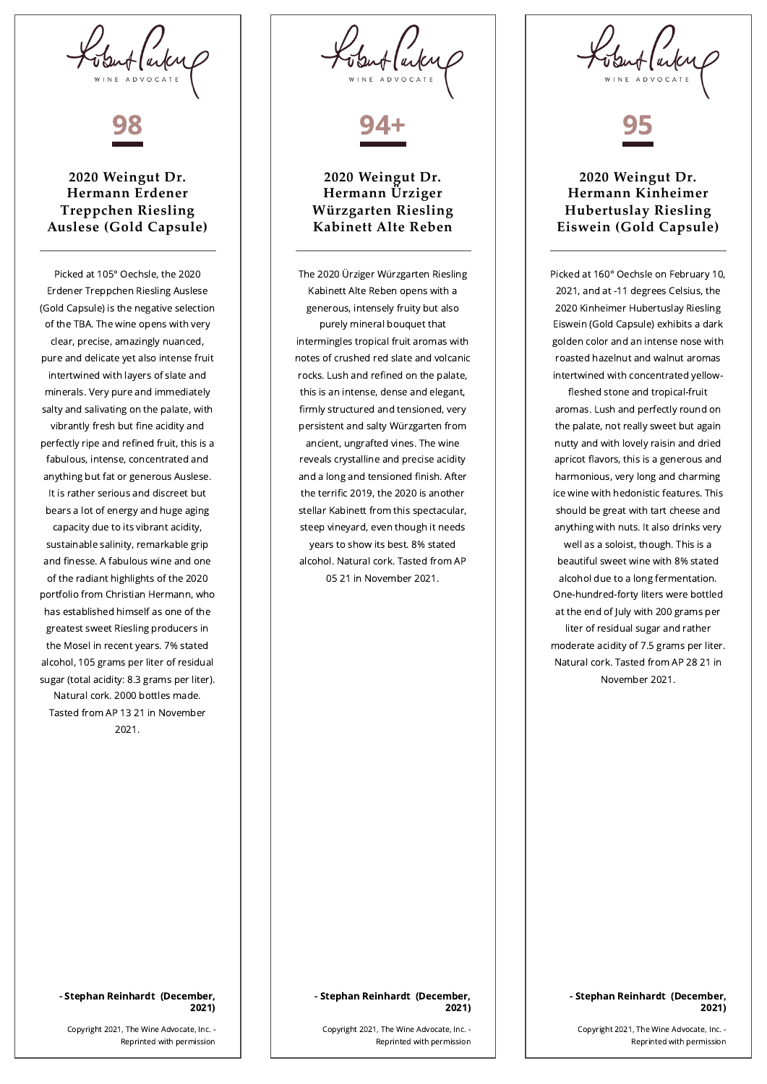ant (arker

98

**2020 Weingut Dr. Hermann Erdener Treppchen Riesling Auslese (Gold Capsule)**

Picked at 105° Oechsle, the 2020 Erdener Treppchen Riesling Auslese (Gold Capsule) is the negative selection of the TBA. The wine opens with very clear, precise, amazingly nuanced, pure and delicate yet also intense fruit intertwined with layers of slate and minerals. Very pure and immediately salty and salivating on the palate, with vibrantly fresh but fine acidity and perfectly ripe and refined fruit, this is a fabulous, intense, concentrated and anything but fat or generous Auslese. It is rather serious and discreet but bears a lot of energy and huge aging capacity due to its vibrant acidity, sustainable salinity, remarkable grip and finesse. A fabulous wine and one of the radiant highlights of the 2020 portfolio from Christian Hermann, who has established himself as one of the greatest sweet Riesling producers in the Mosel in recent years. 7% stated alcohol, 105 grams per liter of residual sugar (total acidity: 8.3 grams per liter). Natural cork. 2000 bottles made. Tasted from AP 13 21 in November 2021.

94+

**2020 Weingut Dr. Hermann Ürziger Würzgarten Riesling Kabinett Alte Reben**

The 2020 Ürziger Würzgarten Riesling Kabinett Alte Reben opens with a generous, intensely fruity but also purely mineral bouquet that intermingles tropical fruit aromas with notes of crushed red slate and volcanic rocks. Lush and refined on the palate, this is an intense, dense and elegant, firmly structured and tensioned, very persistent and salty Würzgarten from ancient, ungrafted vines. The wine reveals crystalline and precise acidity and a long and tensioned finish. After the terrific 2019, the 2020 is another stellar Kabinett from this spectacular, steep vineyard, even though it needs years to show its best. 8% stated alcohol. Natural cork. Tasted from AP 05 21 in November 2021.

# 95

# **2020 Weingut Dr. Hermann Kinheimer Hubertuslay Riesling Eiswein (Gold Capsule)**

Picked at 160° Oechsle on February 10, 2021, and at -11 degrees Celsius, the 2020 Kinheimer Hubertuslay Riesling Eiswein (Gold Capsule) exhibits a dark golden color and an intense nose with roasted hazelnut and walnut aromas intertwined with concentrated yellow-

fleshed stone and tropical-fruit aromas. Lush and perfectly round on the palate, not really sweet but again nutty and with lovely raisin and dried apricot flavors, this is a generous and harmonious, very long and charming ice wine with hedonistic features. This should be great with tart cheese and anything with nuts. It also drinks very well as a soloist, though. This is a beautiful sweet wine with 8% stated alcohol due to a long fermentation. One-hundred-forty liters were bottled at the end of July with 200 grams per liter of residual sugar and rather moderate acidity of 7.5 grams per liter. Natural cork. Tasted from AP 28 21 in November 2021.

#### - Stephan Reinhardt (December, 2021)

Copyright 2021, The Wine Advocate, Inc. - Reprinted with permission

#### - Stephan Reinhardt (December, 2021)

Copyright 2021, The Wine Advocate, Inc. - Reprinted with permission

#### - Stephan Reinhardt (December, 2021)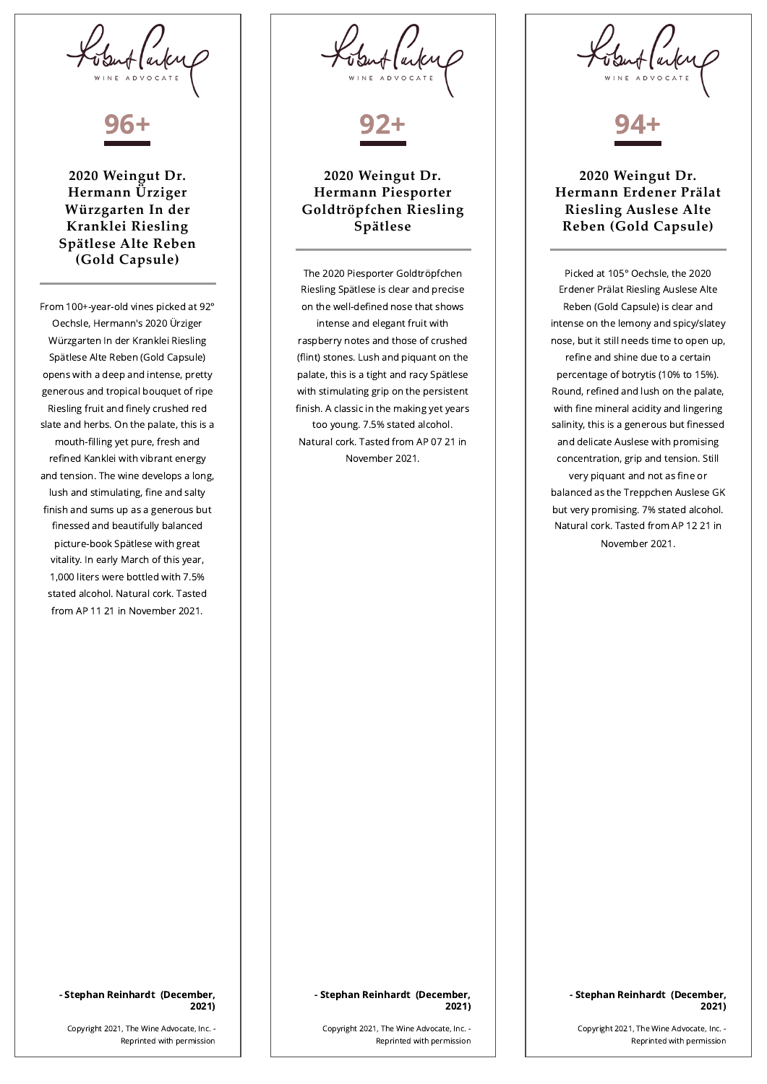# 96+

**2020 Weingut Dr. Hermann Ürziger Würzgarten In der Kranklei Riesling Spätlese Alte Reben (Gold Capsule)**

From 100+-year-old vines picked at 92° Oechsle, Hermann's 2020 Ürziger Würzgarten In der Kranklei Riesling Spätlese Alte Reben (Gold Capsule) opens with a deep and intense, pretty generous and tropical bouquet of ripe Riesling fruit and finely crushed red slate and herbs. On the palate, this is a mouth-filling yet pure, fresh and refined Kanklei with vibrant energy and tension. The wine develops a long, lush and stimulating, fine and salty finish and sums up as a generous but finessed and beautifully balanced picture-book Spätlese with great vitality. In early March of this year, 1,000 liters were bottled with 7.5% stated alcohol. Natural cork. Tasted from AP 11 21 in November 2021.

 $#$ lur $\alpha$ 

92+

**2020 Weingut Dr. Hermann Piesporter Goldtröpfchen Riesling Spätlese**

The 2020 Piesporter Goldtröpfchen Riesling Spätlese is clear and precise on the well-defined nose that shows intense and elegant fruit with raspberry notes and those of crushed (flint) stones. Lush and piquant on the palate, this is a tight and racy Spätlese with stimulating grip on the persistent finish. A classic in the making yet years too young. 7.5% stated alcohol. Natural cork. Tasted from AP 07 21 in November 2021.



# **2020 Weingut Dr. Hermann Erdener Prälat Riesling Auslese Alte Reben (Gold Capsule)**

Picked at 105° Oechsle, the 2020 Erdener Prälat Riesling Auslese Alte Reben (Gold Capsule) is clear and intense on the lemony and spicy/slatey nose, but it still needs time to open up, refine and shine due to a certain percentage of botrytis (10% to 15%). Round, refined and lush on the palate, with fine mineral acidity and lingering salinity, this is a generous but finessed and delicate Auslese with promising concentration, grip and tension. Still very piquant and not as fine or balanced as the Treppchen Auslese GK but very promising. 7% stated alcohol. Natural cork. Tasted from AP 12 21 in November 2021.

- Stephan Reinhardt (December, 2021)

Copyright 2021, The Wine Advocate, Inc. - Reprinted with permission

- Stephan Reinhardt (December, 2021)

Copyright 2021, The Wine Advocate, Inc. - Reprinted with permission

#### - Stephan Reinhardt (December, 2021)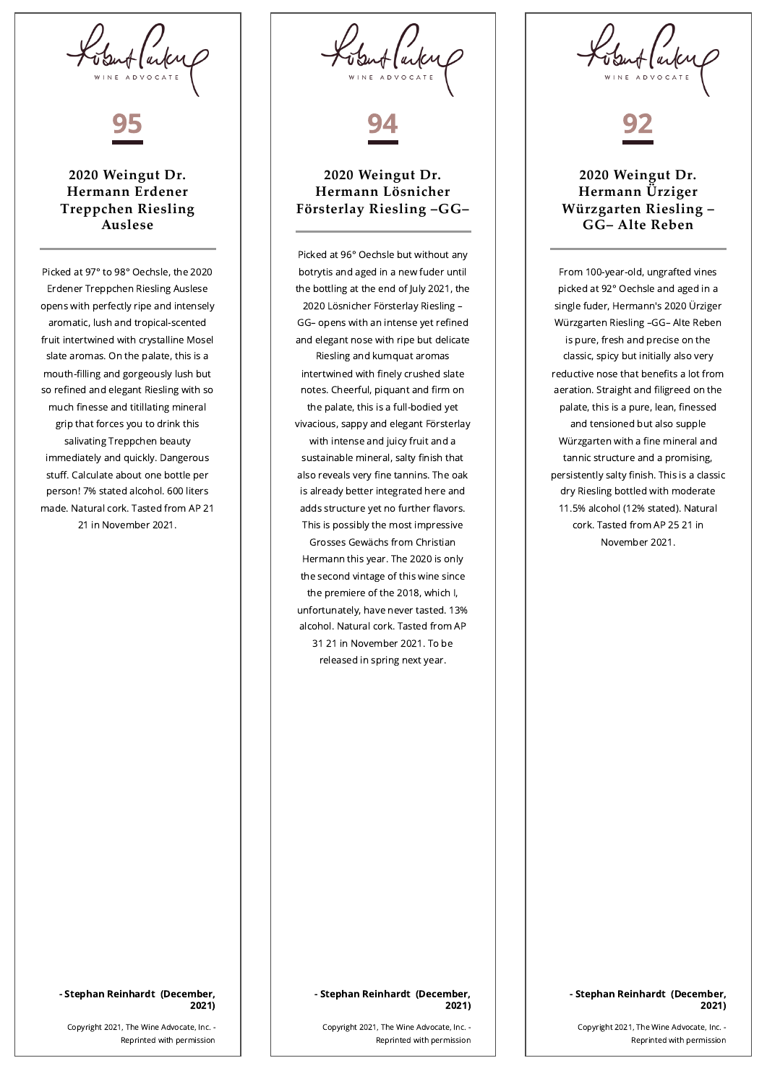unt (arker 95 **2020 Weingut Dr. Hermann Erdener Treppchen Riesling Auslese** Picked at 97° to 98° Oechsle, the 2020 Erdener Treppchen Riesling Auslese opens with perfectly ripe and intensely aromatic, lush and tropical-scented fruit intertwined with crystalline Mosel slate aromas. On the palate, this is a mouth-filling and gorgeously lush but so refined and elegant Riesling with so much finesse and titillating mineral grip that forces you to drink this salivating Treppchen beauty immediately and quickly. Dangerous stuff. Calculate about one bottle per person! 7% stated alcohol. 600 liters made. Natural cork. Tasted from AP 21 21 in November 2021.

|  | Suflarky      |  |
|--|---------------|--|
|  | WINE ADVOCATE |  |

94

# **2020 Weingut Dr. Hermann Lösnicher Försterlay Riesling –GG–**

Picked at 96° Oechsle but without any botrytis and aged in a new fuder until the bottling at the end of July 2021, the 2020 Lösnicher Försterlay Riesling – GG– opens with an intense yet refined and elegant nose with ripe but delicate Riesling and kumquat aromas intertwined with finely crushed slate notes. Cheerful, piquant and firm on the palate, this is a full-bodied yet vivacious, sappy and elegant Försterlay with intense and juicy fruit and a sustainable mineral, salty finish that also reveals very fine tannins. The oak is already better integrated here and adds structure yet no further flavors. This is possibly the most impressive Grosses Gewächs from Christian Hermann this year. The 2020 is only the second vintage of this wine since the premiere of the 2018, which I, unfortunately, have never tasted. 13% alcohol. Natural cork. Tasted from AP 31 21 in November 2021. To be released in spring next year.

# 92

# **2020 Weingut Dr. Hermann Ürziger Würzgarten Riesling – GG– Alte Reben**

From 100-year-old, ungrafted vines picked at 92° Oechsle and aged in a single fuder, Hermann's 2020 Ürziger Würzgarten Riesling –GG– Alte Reben is pure, fresh and precise on the classic, spicy but initially also very reductive nose that benefits a lot from aeration. Straight and filigreed on the palate, this is a pure, lean, finessed and tensioned but also supple Würzgarten with a fine mineral and tannic structure and a promising, persistently salty finish. This is a classic dry Riesling bottled with moderate 11.5% alcohol (12% stated). Natural cork. Tasted from AP 25 21 in November 2021.

#### - Stephan Reinhardt (December, 2021)

Copyright 2021, The Wine Advocate, Inc. - Reprinted with permission

#### - Stephan Reinhardt (December, 2021)

Copyright 2021, The Wine Advocate, Inc. - Reprinted with permission

#### - Stephan Reinhardt (December, 2021)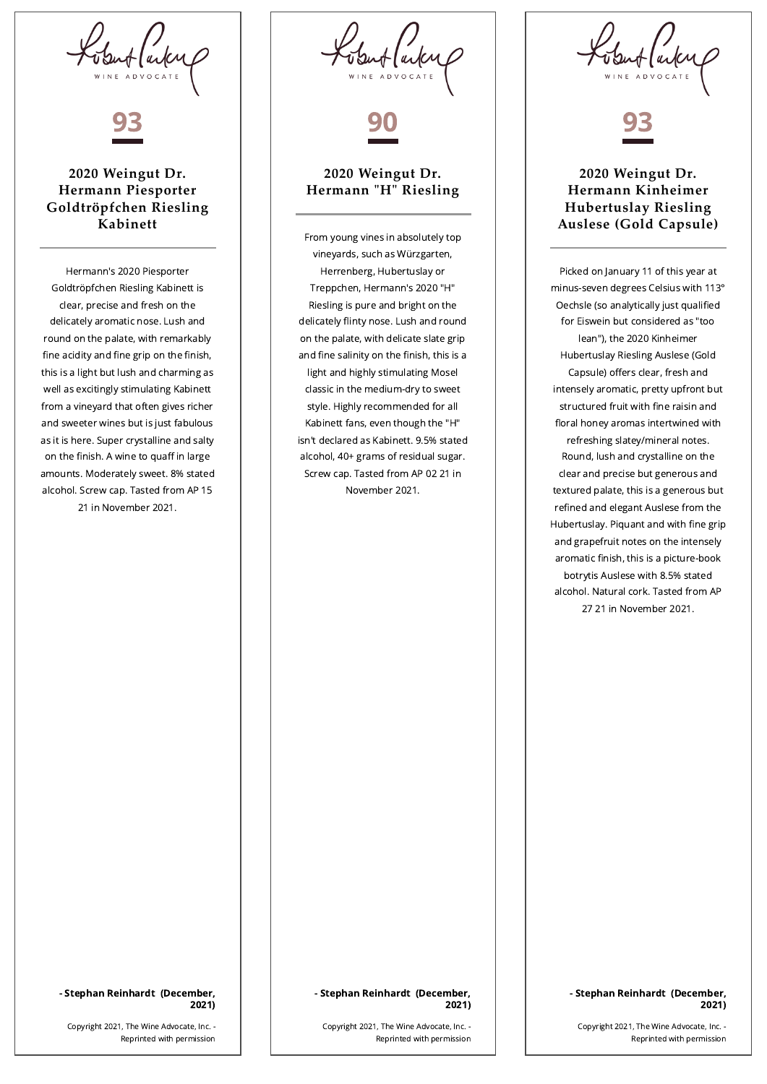93

# **2020 Weingut Dr. Hermann Piesporter Goldtröpfchen Riesling Kabinett**

Hermann's 2020 Piesporter Goldtröpfchen Riesling Kabinett is clear, precise and fresh on the delicately aromatic nose. Lush and round on the palate, with remarkably fine acidity and fine grip on the finish, this is a light but lush and charming as well as excitingly stimulating Kabinett from a vineyard that often gives richer and sweeter wines but is just fabulous as it is here. Super crystalline and salty on the finish. A wine to quaff in large amounts. Moderately sweet. 8% stated alcohol. Screw cap. Tasted from AP 15 21 in November 2021.

90

**2020 Weingut Dr. Hermann "H" Riesling**

From young vines in absolutely top vineyards, such as Würzgarten, Herrenberg, Hubertuslay or Treppchen, Hermann's 2020 "H" Riesling is pure and bright on the delicately flinty nose. Lush and round on the palate, with delicate slate grip and fine salinity on the finish, this is a light and highly stimulating Mosel classic in the medium-dry to sweet style. Highly recommended for all Kabinett fans, even though the "H" isn't declared as Kabinett. 9.5% stated alcohol, 40+ grams of residual sugar. Screw cap. Tasted from AP 02 21 in November 2021.



# **2020 Weingut Dr. Hermann Kinheimer Hubertuslay Riesling Auslese (Gold Capsule)**

93

Picked on January 11 of this year at minus-seven degrees Celsius with 113° Oechsle (so analytically just qualified for Eiswein but considered as "too lean"), the 2020 Kinheimer Hubertuslay Riesling Auslese (Gold Capsule) offers clear, fresh and intensely aromatic, pretty upfront but structured fruit with fine raisin and floral honey aromas intertwined with refreshing slatey/mineral notes. Round, lush and crystalline on the clear and precise but generous and textured palate, this is a generous but refined and elegant Auslese from the Hubertuslay. Piquant and with fine grip and grapefruit notes on the intensely aromatic finish, this is a picture-book botrytis Auslese with 8.5% stated alcohol. Natural cork. Tasted from AP 27 21 in November 2021.

#### - Stephan Reinhardt (December, 2021)

Copyright 2021, The Wine Advocate, Inc. - Reprinted with permission

- Stephan Reinhardt (December, 2021)

Copyright 2021, The Wine Advocate, Inc. - Reprinted with permission

- Stephan Reinhardt (December, 2021)